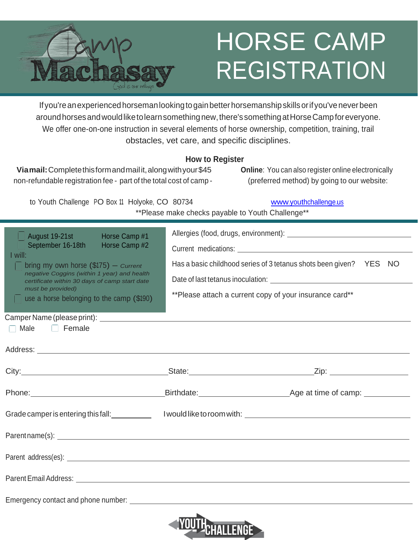

# HORSE CAMP REGISTRATION

If you're an experienced horseman looking to gain better horsemanship skills or if you've never been aroundhorsesandwouldliketolearnsomethingnew,there'ssomethingatHorseCampforeveryone. We offer one-on-one instruction in several elements of horse ownership, competition, training, trail obstacles, vet care, and specific disciplines.

#### **How to Register**

**Viamail:**Completethisformandmailit,alongwithyour\$45 non-refundable registration fee - part of the total cost of camp - **Online**: You can also register online electronically (preferred method) by going to our website:

[www.youthchallenge.us](http://www.youthchallenge.us/)

|  |  | to Youth Challenge PO Box 11 Holyoke, CO 80734 |  | www.youtho                                        |
|--|--|------------------------------------------------|--|---------------------------------------------------|
|  |  |                                                |  | **Please make checks payable to Youth Challenge** |

| $\blacksquare$ August 19-21st<br>Horse Camp #1<br>September 16-18th<br>Horse Camp #2<br>I will:<br>bring my own horse $(\$175)$ – Current<br>negative Coggins (within 1 year) and health<br>certificate within 30 days of camp start date<br>must be provided)<br>$\Box$ use a horse belonging to the camp (\$190)<br>$\Box$ Male $\Box$ Female | Has a basic childhood series of 3 tetanus shots been given? YES NO<br>** Please attach a current copy of your insurance card** |  |  |  |  |  |  |  |
|-------------------------------------------------------------------------------------------------------------------------------------------------------------------------------------------------------------------------------------------------------------------------------------------------------------------------------------------------|--------------------------------------------------------------------------------------------------------------------------------|--|--|--|--|--|--|--|
|                                                                                                                                                                                                                                                                                                                                                 |                                                                                                                                |  |  |  |  |  |  |  |
|                                                                                                                                                                                                                                                                                                                                                 |                                                                                                                                |  |  |  |  |  |  |  |
| Grade camper is entering this fall:<br>Loop Manual Islam of the toroom with:<br>Crade camper is entering this fall:<br>Loop Manual Islam of the toroom with:<br>Loop Manual Islam of the toronom with:                                                                                                                                          |                                                                                                                                |  |  |  |  |  |  |  |
|                                                                                                                                                                                                                                                                                                                                                 |                                                                                                                                |  |  |  |  |  |  |  |
|                                                                                                                                                                                                                                                                                                                                                 |                                                                                                                                |  |  |  |  |  |  |  |
|                                                                                                                                                                                                                                                                                                                                                 |                                                                                                                                |  |  |  |  |  |  |  |
| Emergency contact and phone number: The contract of the contract of the contract of the contract of the contract of the contract of the contract of the contract of the contract of the contract of the contract of the contra                                                                                                                  |                                                                                                                                |  |  |  |  |  |  |  |
|                                                                                                                                                                                                                                                                                                                                                 |                                                                                                                                |  |  |  |  |  |  |  |